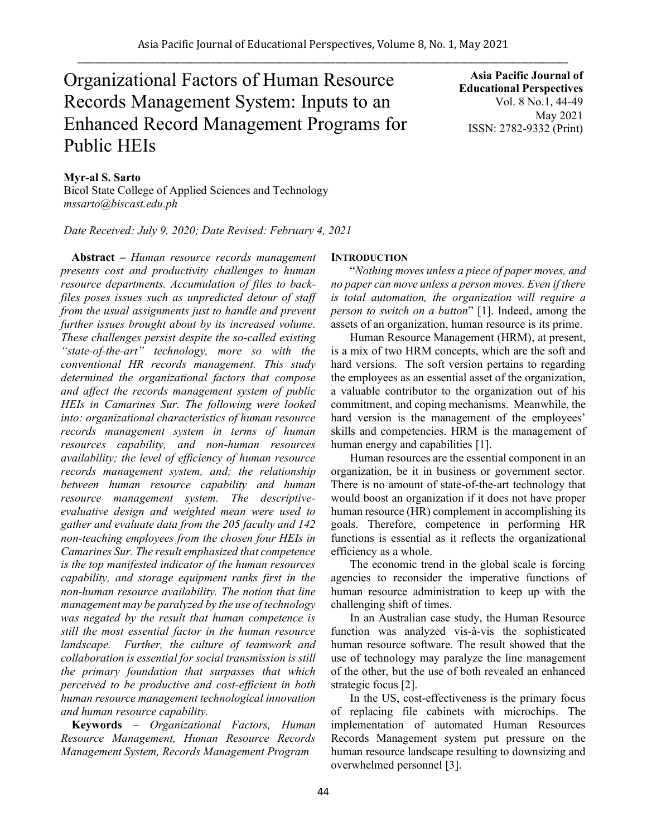# Organizational Factors of Human Resource Records Management System: Inputs to an Enhanced Record Management Programs for Public HEIs

**Asia Pacific Journal of Educational Perspectives**  Vol. 8 No.1, 44-49 May 2021 ISSN: 2782-9332 (Print)

# **Myr-al S. Sarto**

Bicol State College of Applied Sciences and Technology *mssarto@biscast.edu.ph*

*Date Received: July 9, 2020; Date Revised: February 4, 2021*

**Abstract** *– Human resource records management presents cost and productivity challenges to human resource departments. Accumulation of files to backfiles poses issues such as unpredicted detour of staff from the usual assignments just to handle and prevent further issues brought about by its increased volume. These challenges persist despite the so-called existing "state-of-the-art" technology, more so with the conventional HR records management. This study determined the organizational factors that compose and affect the records management system of public HEIs in Camarines Sur. The following were looked into: organizational characteristics of human resource records management system in terms of human resources capability, and non-human resources availability; the level of efficiency of human resource records management system, and; the relationship between human resource capability and human resource management system. The descriptiveevaluative design and weighted mean were used to gather and evaluate data from the 205 faculty and 142 non-teaching employees from the chosen four HEIs in Camarines Sur. The result emphasized that competence is the top manifested indicator of the human resources capability, and storage equipment ranks first in the non-human resource availability. The notion that line management may be paralyzed by the use of technology was negated by the result that human competence is still the most essential factor in the human resource landscape. Further, the culture of teamwork and collaboration is essential for social transmission is still the primary foundation that surpasses that which perceived to be productive and cost-efficient in both human resource management technological innovation and human resource capability.* 

**Keywords** *– Organizational Factors, Human Resource Management, Human Resource Records Management System, Records Management Program*

## **INTRODUCTION**

"*Nothing moves unless a piece of paper moves, and no paper can move unless a person moves. Even if there is total automation, the organization will require a person to switch on a button*" [1]. Indeed, among the assets of an organization, human resource is its prime.

Human Resource Management (HRM), at present, is a mix of two HRM concepts, which are the soft and hard versions. The soft version pertains to regarding the employees as an essential asset of the organization, a valuable contributor to the organization out of his commitment, and coping mechanisms. Meanwhile, the hard version is the management of the employees' skills and competencies. HRM is the management of human energy and capabilities [1].

Human resources are the essential component in an organization, be it in business or government sector. There is no amount of state-of-the-art technology that would boost an organization if it does not have proper human resource (HR) complement in accomplishing its goals. Therefore, competence in performing HR functions is essential as it reflects the organizational efficiency as a whole.

The economic trend in the global scale is forcing agencies to reconsider the imperative functions of human resource administration to keep up with the challenging shift of times.

In an Australian case study, the Human Resource function was analyzed vis-à-vis the sophisticated human resource software. The result showed that the use of technology may paralyze the line management of the other, but the use of both revealed an enhanced strategic focus [2].

In the US, cost-effectiveness is the primary focus of replacing file cabinets with microchips. The implementation of automated Human Resources Records Management system put pressure on the human resource landscape resulting to downsizing and overwhelmed personnel [3].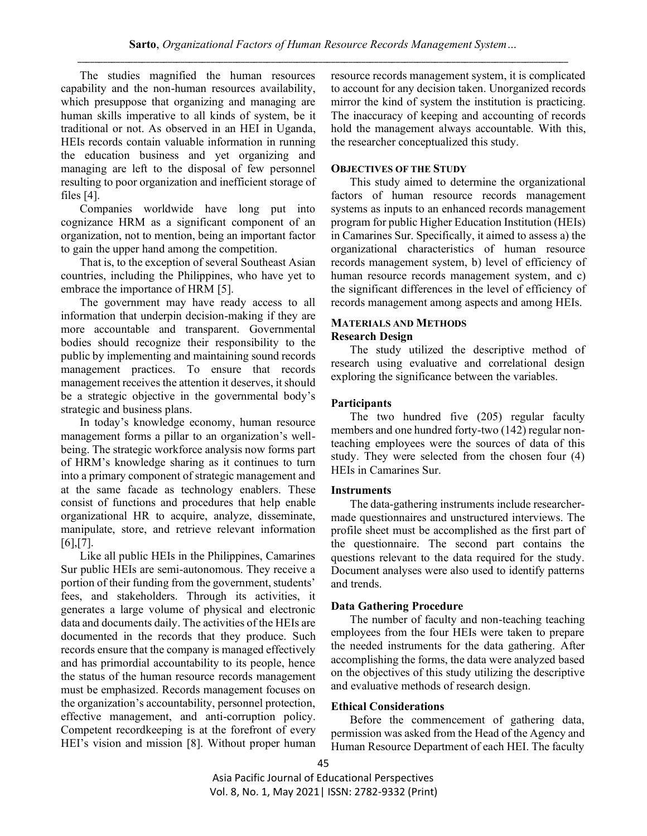The studies magnified the human resources capability and the non-human resources availability, which presuppose that organizing and managing are human skills imperative to all kinds of system, be it traditional or not. As observed in an HEI in Uganda, HEIs records contain valuable information in running the education business and yet organizing and managing are left to the disposal of few personnel resulting to poor organization and inefficient storage of files [4].

Companies worldwide have long put into cognizance HRM as a significant component of an organization, not to mention, being an important factor to gain the upper hand among the competition.

That is, to the exception of several Southeast Asian countries, including the Philippines, who have yet to embrace the importance of HRM [5].

The government may have ready access to all information that underpin decision-making if they are more accountable and transparent. Governmental bodies should recognize their responsibility to the public by implementing and maintaining sound records management practices. To ensure that records management receives the attention it deserves, it should be a strategic objective in the governmental body's strategic and business plans.

In today's knowledge economy, human resource management forms a pillar to an organization's wellbeing. The strategic workforce analysis now forms part of HRM's knowledge sharing as it continues to turn into a primary component of strategic management and at the same facade as technology enablers. These consist of functions and procedures that help enable organizational HR to acquire, analyze, disseminate, manipulate, store, and retrieve relevant information  $[6]$ , $[7]$ .

Like all public HEIs in the Philippines, Camarines Sur public HEIs are semi-autonomous. They receive a portion of their funding from the government, students' fees, and stakeholders. Through its activities, it generates a large volume of physical and electronic data and documents daily. The activities of the HEIs are documented in the records that they produce. Such records ensure that the company is managed effectively and has primordial accountability to its people, hence the status of the human resource records management must be emphasized. Records management focuses on the organization's accountability, personnel protection, effective management, and anti-corruption policy. Competent recordkeeping is at the forefront of every HEI's vision and mission [8]. Without proper human resource records management system, it is complicated to account for any decision taken. Unorganized records mirror the kind of system the institution is practicing. The inaccuracy of keeping and accounting of records hold the management always accountable. With this, the researcher conceptualized this study.

#### **OBJECTIVES OF THE STUDY**

This study aimed to determine the organizational factors of human resource records management systems as inputs to an enhanced records management program for public Higher Education Institution (HEIs) in Camarines Sur. Specifically, it aimed to assess a) the organizational characteristics of human resource records management system, b) level of efficiency of human resource records management system, and c) the significant differences in the level of efficiency of records management among aspects and among HEIs.

## **MATERIALS AND METHODS Research Design**

The study utilized the descriptive method of research using evaluative and correlational design exploring the significance between the variables.

#### **Participants**

The two hundred five (205) regular faculty members and one hundred forty-two (142) regular nonteaching employees were the sources of data of this study. They were selected from the chosen four (4) HEIs in Camarines Sur.

#### **Instruments**

The data-gathering instruments include researchermade questionnaires and unstructured interviews. The profile sheet must be accomplished as the first part of the questionnaire. The second part contains the questions relevant to the data required for the study. Document analyses were also used to identify patterns and trends.

## **Data Gathering Procedure**

The number of faculty and non-teaching teaching employees from the four HEIs were taken to prepare the needed instruments for the data gathering. After accomplishing the forms, the data were analyzed based on the objectives of this study utilizing the descriptive and evaluative methods of research design.

#### **Ethical Considerations**

Before the commencement of gathering data, permission was asked from the Head of the Agency and Human Resource Department of each HEI. The faculty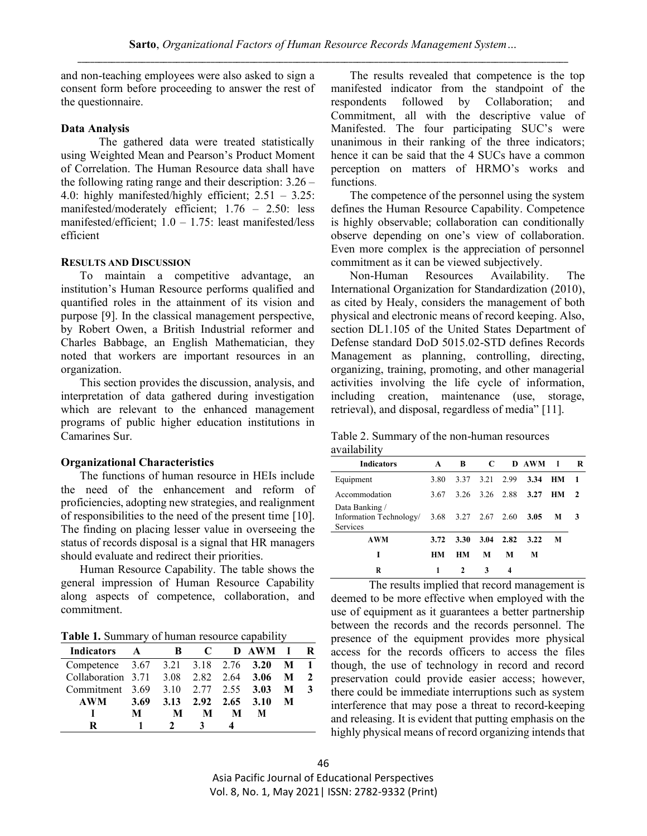and non-teaching employees were also asked to sign a consent form before proceeding to answer the rest of the questionnaire.

## **Data Analysis**

The gathered data were treated statistically using Weighted Mean and Pearson's Product Moment of Correlation. The Human Resource data shall have the following rating range and their description: 3.26 – 4.0: highly manifested/highly efficient; 2.51 – 3.25: manifested/moderately efficient; 1.76 – 2.50: less manifested/efficient;  $1.0 - 1.75$ : least manifested/less efficient

#### **RESULTS AND DISCUSSION**

To maintain a competitive advantage, an institution's Human Resource performs qualified and quantified roles in the attainment of its vision and purpose [9]. In the classical management perspective, by Robert Owen, a British Industrial reformer and Charles Babbage, an English Mathematician, they noted that workers are important resources in an organization.

This section provides the discussion, analysis, and interpretation of data gathered during investigation which are relevant to the enhanced management programs of public higher education institutions in Camarines Sur.

#### **Organizational Characteristics**

The functions of human resource in HEIs include the need of the enhancement and reform of proficiencies, adopting new strategies, and realignment of responsibilities to the need of the present time [10]. The finding on placing lesser value in overseeing the status of records disposal is a signal that HR managers should evaluate and redirect their priorities.

Human Resource Capability. The table shows the general impression of Human Resource Capability along aspects of competence, collaboration, and commitment.

**Table 1.** Summary of human resource capability

| <b>Indicators</b>                   |      | В    | C    |      | D AWM |   | R |
|-------------------------------------|------|------|------|------|-------|---|---|
| Competence 3.67 3.21 3.18 2.76 3.20 |      |      |      |      |       | M |   |
| Collaboration 3.71 3.08             |      |      | 2.82 | 2.64 | 3.06  | м |   |
| Commitment 3.69                     |      | 3.10 | 2.77 | 2.55 | 3.03  | М |   |
| <b>AWM</b>                          | 3.69 | 3.13 | 2.92 | 2.65 | 3.10  | М |   |
|                                     | М    | м    | м    | м    | м     |   |   |
| R                                   |      |      |      |      |       |   |   |

The results revealed that competence is the top manifested indicator from the standpoint of the respondents followed by Collaboration; and Commitment, all with the descriptive value of Manifested. The four participating SUC's were unanimous in their ranking of the three indicators; hence it can be said that the 4 SUCs have a common perception on matters of HRMO's works and functions.

The competence of the personnel using the system defines the Human Resource Capability. Competence is highly observable; collaboration can conditionally observe depending on one's view of collaboration. Even more complex is the appreciation of personnel commitment as it can be viewed subjectively.

Non-Human Resources Availability. The International Organization for Standardization (2010), as cited by Healy, considers the management of both physical and electronic means of record keeping. Also, section DL1.105 of the United States Department of Defense standard DoD 5015.02-STD defines Records Management as planning, controlling, directing, organizing, training, promoting, and other managerial activities involving the life cycle of information, including creation, maintenance (use, storage, retrieval), and disposal, regardless of media" [11].

Table 2. Summary of the non-human resources availability

| <b>Indicators</b>                                                     | A    | B    | C    |           | D AWM | I  | R            |
|-----------------------------------------------------------------------|------|------|------|-----------|-------|----|--------------|
| Equipment                                                             | 3.80 | 3.37 | 3.21 | 2.99      | 3.34  | HМ | $\mathbf{1}$ |
| Accommodation                                                         | 3.67 | 3.26 |      | 3.26 2.88 | 3.27  | HМ | $\mathbf{2}$ |
| Data Banking /<br>Information Technology $3.68$ 3.27 2.67<br>Services |      |      |      | 2.60      | 3.05  | M  | 3            |
| <b>AWM</b>                                                            | 3.72 | 3.30 | 3.04 | 2.82      | 3.22  | M  |              |
| I                                                                     | HМ   | HМ   | М    | M         | M     |    |              |
| R                                                                     | 1    | 2    | 3    | 4         |       |    |              |

The results implied that record management is deemed to be more effective when employed with the use of equipment as it guarantees a better partnership between the records and the records personnel. The presence of the equipment provides more physical access for the records officers to access the files though, the use of technology in record and record preservation could provide easier access; however, there could be immediate interruptions such as system interference that may pose a threat to record-keeping and releasing. It is evident that putting emphasis on the highly physical means of record organizing intends that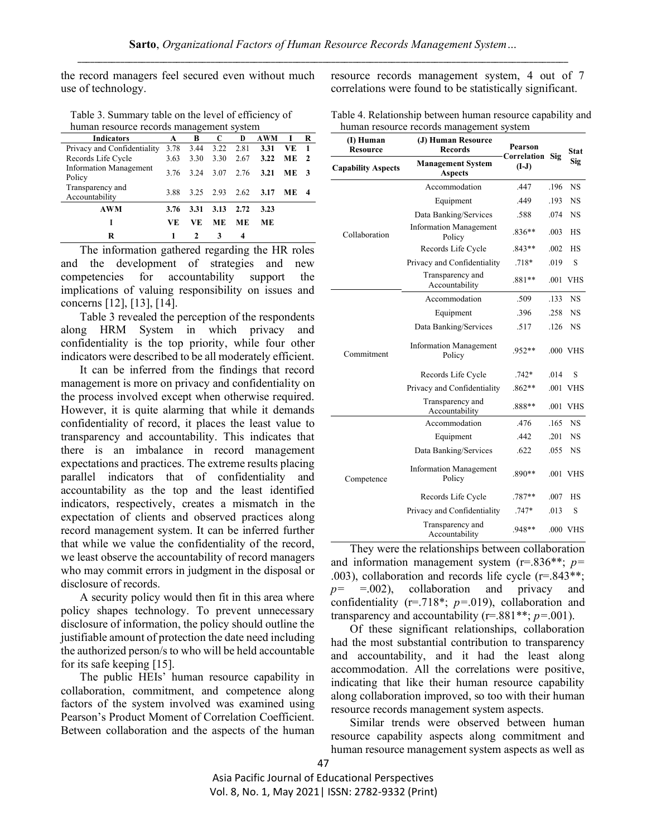the record managers feel secured even without much use of technology.

| Table 3. Summary table on the level of efficiency of |
|------------------------------------------------------|
| human resource records management system             |

| <b>Indicators</b>                       | A    | B             | C         | D         | <b>AWM</b> | I         | R            |
|-----------------------------------------|------|---------------|-----------|-----------|------------|-----------|--------------|
| Privacy and Confidentiality             | 3.78 | 3.44          | 3.22      | 2.81      | 3.31       | VE        | 1            |
| Records Life Cycle                      | 3.63 | 3.30          | 3.30      | 2.67      | 3.22       | <b>ME</b> | $\mathbf{2}$ |
| <b>Information Management</b><br>Policy | 3.76 | 3.24          | 3.07 2.76 |           | 3.21       | ME.       |              |
| Transparency and<br>Accountability      | 3.88 |               | 3.25 2.93 | 2.62      | 3.17       | ME        |              |
| AWM                                     | 3.76 | 3.31          | 3.13      | 2.72      | 3.23       |           |              |
| I                                       | VE.  | VE.           | <b>ME</b> | <b>ME</b> | ME.        |           |              |
| R                                       |      | $\mathcal{L}$ | 3         | 4         |            |           |              |

The information gathered regarding the HR roles and the development of strategies and new competencies for accountability support the implications of valuing responsibility on issues and concerns [12], [13], [14].

Table 3 revealed the perception of the respondents along HRM System in which privacy and confidentiality is the top priority, while four other indicators were described to be all moderately efficient.

It can be inferred from the findings that record management is more on privacy and confidentiality on the process involved except when otherwise required. However, it is quite alarming that while it demands confidentiality of record, it places the least value to transparency and accountability. This indicates that there is an imbalance in record management expectations and practices. The extreme results placing parallel indicators that of confidentiality and accountability as the top and the least identified indicators, respectively, creates a mismatch in the expectation of clients and observed practices along record management system. It can be inferred further that while we value the confidentiality of the record, we least observe the accountability of record managers who may commit errors in judgment in the disposal or disclosure of records.

A security policy would then fit in this area where policy shapes technology. To prevent unnecessary disclosure of information, the policy should outline the justifiable amount of protection the date need including the authorized person/s to who will be held accountable for its safe keeping [15].

The public HEIs' human resource capability in collaboration, commitment, and competence along factors of the system involved was examined using Pearson's Product Moment of Correlation Coefficient. Between collaboration and the aspects of the human

resource records management system, 4 out of 7 correlations were found to be statistically significant.

Table 4. Relationship between human resource capability and human resource records management system

| (I) Human<br><b>Resource</b> | (J) Human Resource<br><b>Records</b>              | Pearson<br>Correlation |          | <b>Stat</b><br>Sig |  |
|------------------------------|---------------------------------------------------|------------------------|----------|--------------------|--|
| <b>Capability Aspects</b>    | <b>Management System</b><br><b>Aspects</b>        | $(I-J)$                | Sig      |                    |  |
| Collaboration                | Accommodation                                     | .447                   | .196     | <b>NS</b>          |  |
|                              | Equipment                                         | .449                   | .193     | <b>NS</b>          |  |
|                              | Data Banking/Services                             | .588                   | .074     | <b>NS</b>          |  |
|                              | <b>Information Management</b><br>Policy           | $.836**$               | .003     | <b>HS</b>          |  |
|                              | Records Life Cycle                                | .843**                 | .002     | НS                 |  |
|                              | Privacy and Confidentiality                       | $.718*$                | .019     | S                  |  |
|                              | Transparency and<br>Accountability                | .881**                 | .001     | <b>VHS</b>         |  |
| Commitment                   | Accommodation                                     | .509                   | .133     | <b>NS</b>          |  |
|                              | Equipment                                         | .396                   | .258     | <b>NS</b>          |  |
|                              | Data Banking/Services                             | .517                   | .126     | <b>NS</b>          |  |
|                              | <b>Information Management</b><br>.952**<br>Policy |                        |          | .000 VHS           |  |
|                              | Records Life Cycle                                | $.742*$                | .014     | S                  |  |
|                              | Privacy and Confidentiality                       | $.862**$               | .001     | <b>VHS</b>         |  |
|                              | Transparency and<br>Accountability                | .888**                 | .001     | <b>VHS</b>         |  |
|                              | Accommodation                                     | .476                   | .165     | <b>NS</b>          |  |
|                              | Equipment                                         | .442                   | .201     | <b>NS</b>          |  |
| Competence                   | Data Banking/Services                             | .622                   | .055     | <b>NS</b>          |  |
|                              | <b>Information Management</b><br>Policy           |                        | .001 VHS |                    |  |
|                              | Records Life Cycle                                | $.787**$               | .007     | НS                 |  |
|                              | Privacy and Confidentiality                       | .747*                  | .013     | S                  |  |
|                              | Transparency and<br>Accountability                | .948**                 |          | .000 VHS           |  |

They were the relationships between collaboration and information management system (r=.836\*\*; *p=* .003), collaboration and records life cycle (r=.843\*\*; *p=* =.002), collaboration and privacy and confidentiality (r=.718\*; *p=*.019), collaboration and transparency and accountability (r=.881\*\*; *p=*.001).

Of these significant relationships, collaboration had the most substantial contribution to transparency and accountability, and it had the least along accommodation. All the correlations were positive, indicating that like their human resource capability along collaboration improved, so too with their human resource records management system aspects.

Similar trends were observed between human resource capability aspects along commitment and human resource management system aspects as well as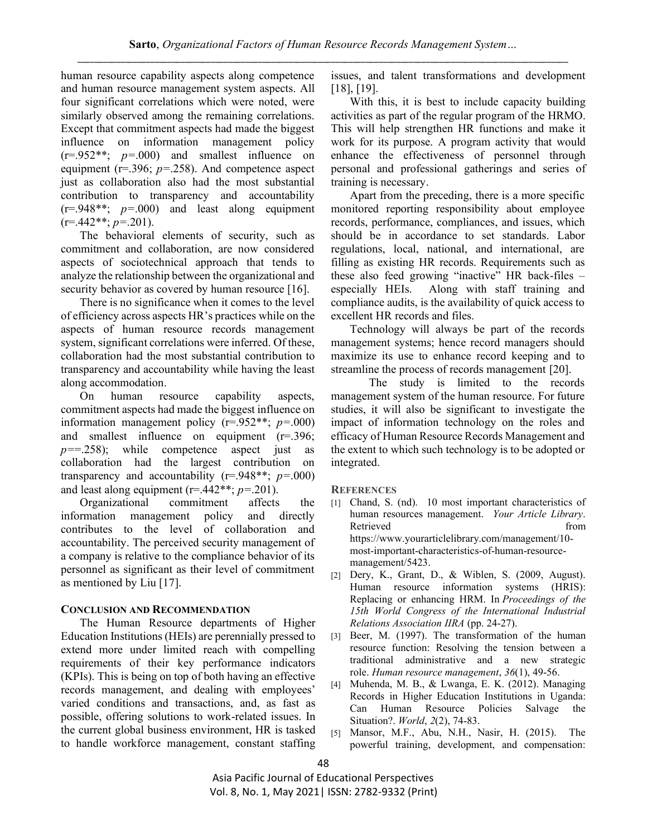human resource capability aspects along competence and human resource management system aspects. All four significant correlations which were noted, were similarly observed among the remaining correlations. Except that commitment aspects had made the biggest influence on information management policy (r=.952\*\*; *p=*.000) and smallest influence on equipment (r=.396; *p=*.258). And competence aspect just as collaboration also had the most substantial contribution to transparency and accountability (r=.948\*\*; *p=*.000) and least along equipment  $(r=442**; p=.201)$ .

The behavioral elements of security, such as commitment and collaboration, are now considered aspects of sociotechnical approach that tends to analyze the relationship between the organizational and security behavior as covered by human resource [16].

There is no significance when it comes to the level of efficiency across aspects HR's practices while on the aspects of human resource records management system, significant correlations were inferred. Of these, collaboration had the most substantial contribution to transparency and accountability while having the least along accommodation.

On human resource capability aspects, commitment aspects had made the biggest influence on information management policy (r=.952\*\*; *p=*.000) and smallest influence on equipment (r=.396; *p=*=.258); while competence aspect just as collaboration had the largest contribution on transparency and accountability (r=.948\*\*; *p=*.000) and least along equipment (r=.442\*\*; *p=*.201).

Organizational commitment affects the information management policy and directly contributes to the level of collaboration and accountability. The perceived security management of a company is relative to the compliance behavior of its personnel as significant as their level of commitment as mentioned by Liu [17].

# **CONCLUSION AND RECOMMENDATION**

The Human Resource departments of Higher Education Institutions (HEIs) are perennially pressed to extend more under limited reach with compelling requirements of their key performance indicators (KPIs). This is being on top of both having an effective records management, and dealing with employees' varied conditions and transactions, and, as fast as possible, offering solutions to work-related issues. In the current global business environment, HR is tasked to handle workforce management, constant staffing

issues, and talent transformations and development [18], [19].

With this, it is best to include capacity building activities as part of the regular program of the HRMO. This will help strengthen HR functions and make it work for its purpose. A program activity that would enhance the effectiveness of personnel through personal and professional gatherings and series of training is necessary.

Apart from the preceding, there is a more specific monitored reporting responsibility about employee records, performance, compliances, and issues, which should be in accordance to set standards. Labor regulations, local, national, and international, are filling as existing HR records. Requirements such as these also feed growing "inactive" HR back-files – especially HEIs. Along with staff training and compliance audits, is the availability of quick access to excellent HR records and files.

Technology will always be part of the records management systems; hence record managers should maximize its use to enhance record keeping and to streamline the process of records management [20].

The study is limited to the records management system of the human resource. For future studies, it will also be significant to investigate the impact of information technology on the roles and efficacy of Human Resource Records Management and the extent to which such technology is to be adopted or integrated.

**REFERENCES** 

- [1] Chand, S. (nd). 10 most important characteristics of human resources management. *Your Article Library*. Retrieved from the settlement of the settlement of the settlement of the settlement of the settlement of the set [https://www.yourarticlelibrary.com/management/10](https://www.yourarticlelibrary.com/management/10-most-important-characteristics-of-human-resource-management/5423) [most-important-characteristics-of-human-resource](https://www.yourarticlelibrary.com/management/10-most-important-characteristics-of-human-resource-management/5423)[management/5423.](https://www.yourarticlelibrary.com/management/10-most-important-characteristics-of-human-resource-management/5423)
- [2] Dery, K., Grant, D., & Wiblen, S. (2009, August). Human resource information systems (HRIS): Replacing or enhancing HRM. In *Proceedings of the 15th World Congress of the International Industrial Relations Association IIRA* (pp. 24-27).
- [3] Beer, M. (1997). The transformation of the human resource function: Resolving the tension between a traditional administrative and a new strategic role. *Human resource management*, *36*(1), 49-56.
- [4] Muhenda, M. B., & Lwanga, E. K. (2012). Managing Records in Higher Education Institutions in Uganda: Can Human Resource Policies Salvage the Situation?. *World*, *2*(2), 74-83.
- [5] Mansor, M.F., Abu, N.H., Nasir, H. (2015). The powerful training, development, and compensation: